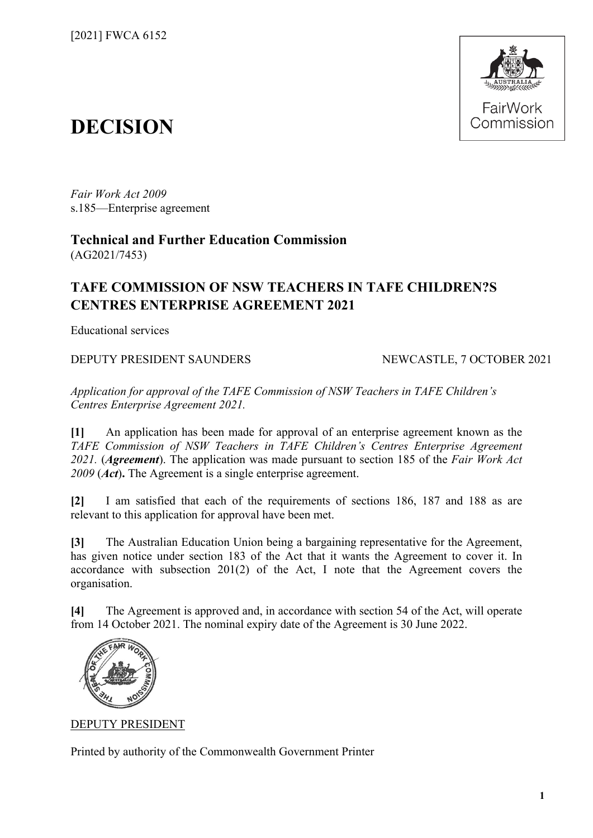

# **DECISION**

*Fair Work Act 2009*  s.185—Enterprise agreement

**Technical and Further Education Commission** (AG2021/7453)

# **TAFE COMMISSION OF NSW TEACHERS IN TAFE CHILDREN?S CENTRES ENTERPRISE AGREEMENT 2021**

Educational services

## DEPUTY PRESIDENT SAUNDERS NEWCASTLE, 7 OCTOBER 2021

*Application for approval of the TAFE Commission of NSW Teachers in TAFE Children's Centres Enterprise Agreement 2021.*

**[1]** An application has been made for approval of an enterprise agreement known as the *TAFE Commission of NSW Teachers in TAFE Children's Centres Enterprise Agreement 2021.* (*Agreement*). The application was made pursuant to section 185 of the *Fair Work Act 2009* (*Act*)**.** The Agreement is a single enterprise agreement.

**[2]** I am satisfied that each of the requirements of sections 186, 187 and 188 as are relevant to this application for approval have been met.

**[3]** The Australian Education Union being a bargaining representative for the Agreement, has given notice under section 183 of the Act that it wants the Agreement to cover it. In accordance with subsection 201(2) of the Act, I note that the Agreement covers the organisation.

**[4]** The Agreement is approved and, in accordance with section 54 of the Act, will operate from 14 October 2021. The nominal expiry date of the Agreement is 30 June 2022.



DEPUTY PRESIDENT

Printed by authority of the Commonwealth Government Printer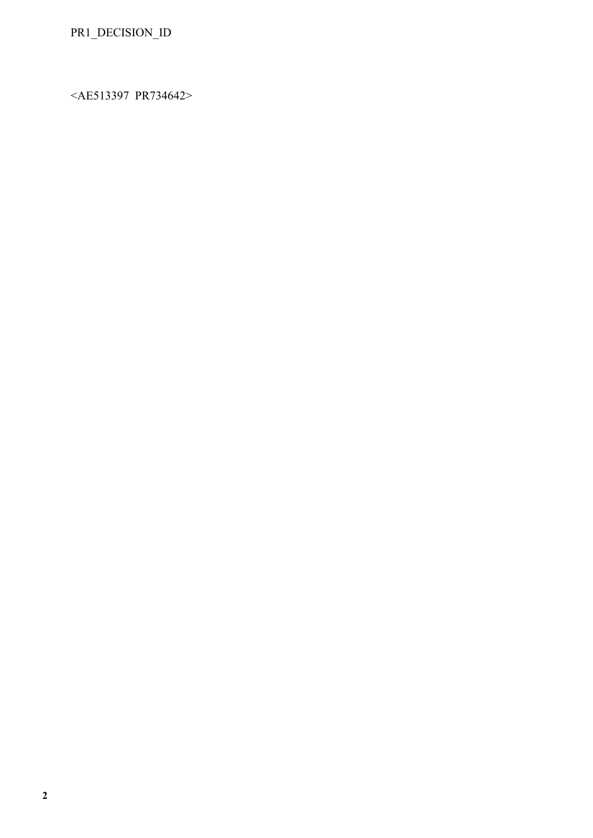<AE513397 PR734642>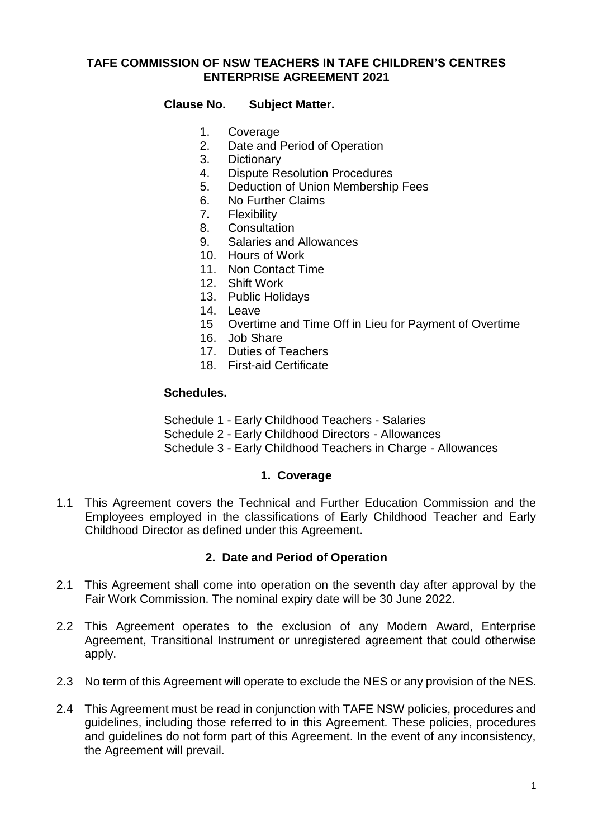# **TAFE COMMISSION OF NSW TEACHERS IN TAFE CHILDREN'S CENTRES ENTERPRISE AGREEMENT 2021**

# **Clause No. Subject Matter.**

- 1. Coverage
- 2. Date and Period of Operation
- 3. Dictionary
- 4. Dispute Resolution Procedures
- 5. Deduction of Union Membership Fees
- 6. No Further Claims
- 7**.** Flexibility
- 8. Consultation
- 9. Salaries and Allowances
- 10. Hours of Work
- 11. Non Contact Time
- 12. Shift Work
- 13. Public Holidays
- 14. Leave
- 15 Overtime and Time Off in Lieu for Payment of Overtime
- 16. Job Share
- 17. Duties of Teachers
- 18. First-aid Certificate

#### **Schedules.**

- Schedule 1 Early Childhood Teachers Salaries
- Schedule 2 Early Childhood Directors Allowances
- Schedule 3 Early Childhood Teachers in Charge Allowances

#### **1. Coverage**

1.1 This Agreement covers the Technical and Further Education Commission and the Employees employed in the classifications of Early Childhood Teacher and Early Childhood Director as defined under this Agreement.

## **2. Date and Period of Operation**

- 2.1 This Agreement shall come into operation on the seventh day after approval by the Fair Work Commission. The nominal expiry date will be 30 June 2022.
- 2.2 This Agreement operates to the exclusion of any Modern Award, Enterprise Agreement, Transitional Instrument or unregistered agreement that could otherwise apply.
- 2.3 No term of this Agreement will operate to exclude the NES or any provision of the NES.
- 2.4 This Agreement must be read in conjunction with TAFE NSW policies, procedures and guidelines, including those referred to in this Agreement. These policies, procedures and guidelines do not form part of this Agreement. In the event of any inconsistency, the Agreement will prevail.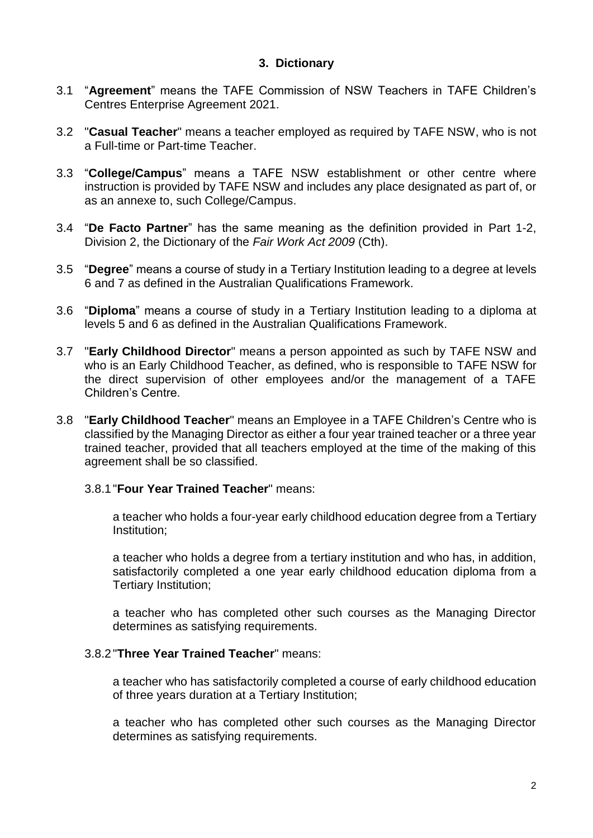# **3. Dictionary**

- 3.1 "**Agreement**" means the TAFE Commission of NSW Teachers in TAFE Children's Centres Enterprise Agreement 2021.
- 3.2 "**Casual Teacher**" means a teacher employed as required by TAFE NSW, who is not a Full-time or Part-time Teacher.
- 3.3 "**College/Campus**" means a TAFE NSW establishment or other centre where instruction is provided by TAFE NSW and includes any place designated as part of, or as an annexe to, such College/Campus.
- 3.4 "**De Facto Partner**" has the same meaning as the definition provided in Part 1-2, Division 2, the Dictionary of the *Fair Work Act 2009* (Cth).
- 3.5 "**Degree**" means a course of study in a Tertiary Institution leading to a degree at levels 6 and 7 as defined in the Australian Qualifications Framework.
- 3.6 "**Diploma**" means a course of study in a Tertiary Institution leading to a diploma at levels 5 and 6 as defined in the Australian Qualifications Framework.
- 3.7 "**Early Childhood Director**" means a person appointed as such by TAFE NSW and who is an Early Childhood Teacher, as defined, who is responsible to TAFE NSW for the direct supervision of other employees and/or the management of a TAFE Children's Centre.
- 3.8 "**Early Childhood Teacher**" means an Employee in a TAFE Children's Centre who is classified by the Managing Director as either a four year trained teacher or a three year trained teacher, provided that all teachers employed at the time of the making of this agreement shall be so classified.

#### 3.8.1"**Four Year Trained Teacher**" means:

a teacher who holds a four-year early childhood education degree from a Tertiary Institution;

a teacher who holds a degree from a tertiary institution and who has, in addition, satisfactorily completed a one year early childhood education diploma from a Tertiary Institution;

a teacher who has completed other such courses as the Managing Director determines as satisfying requirements.

#### 3.8.2"**Three Year Trained Teacher**" means:

a teacher who has satisfactorily completed a course of early childhood education of three years duration at a Tertiary Institution;

a teacher who has completed other such courses as the Managing Director determines as satisfying requirements.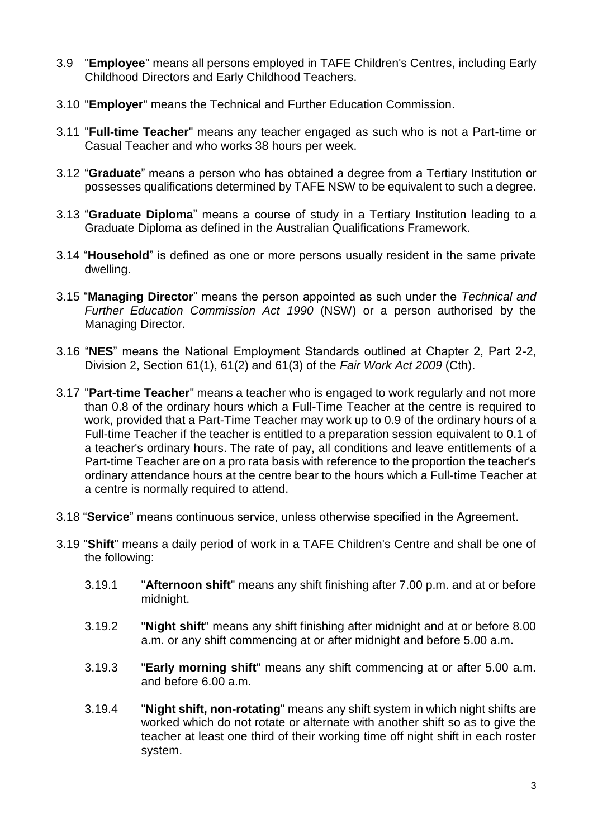- 3.9 "**Employee**" means all persons employed in TAFE Children's Centres, including Early Childhood Directors and Early Childhood Teachers.
- 3.10 "**Employer**" means the Technical and Further Education Commission.
- 3.11 "**Full-time Teacher**" means any teacher engaged as such who is not a Part-time or Casual Teacher and who works 38 hours per week.
- 3.12 "**Graduate**" means a person who has obtained a degree from a Tertiary Institution or possesses qualifications determined by TAFE NSW to be equivalent to such a degree.
- 3.13 "**Graduate Diploma**" means a course of study in a Tertiary Institution leading to a Graduate Diploma as defined in the Australian Qualifications Framework.
- 3.14 "**Household**" is defined as one or more persons usually resident in the same private dwelling.
- 3.15 "**Managing Director**" means the person appointed as such under the *Technical and Further Education Commission Act 1990* (NSW) or a person authorised by the Managing Director.
- 3.16 "**NES**" means the National Employment Standards outlined at Chapter 2, Part 2-2, Division 2, Section 61(1), 61(2) and 61(3) of the *Fair Work Act 2009* (Cth).
- 3.17 "**Part-time Teacher**" means a teacher who is engaged to work regularly and not more than 0.8 of the ordinary hours which a Full-Time Teacher at the centre is required to work, provided that a Part-Time Teacher may work up to 0.9 of the ordinary hours of a Full-time Teacher if the teacher is entitled to a preparation session equivalent to 0.1 of a teacher's ordinary hours. The rate of pay, all conditions and leave entitlements of a Part-time Teacher are on a pro rata basis with reference to the proportion the teacher's ordinary attendance hours at the centre bear to the hours which a Full-time Teacher at a centre is normally required to attend.
- 3.18 "**Service**" means continuous service, unless otherwise specified in the Agreement.
- 3.19 "**Shift**" means a daily period of work in a TAFE Children's Centre and shall be one of the following:
	- 3.19.1 "**Afternoon shift**" means any shift finishing after 7.00 p.m. and at or before midnight.
	- 3.19.2 "**Night shift**" means any shift finishing after midnight and at or before 8.00 a.m. or any shift commencing at or after midnight and before 5.00 a.m.
	- 3.19.3 "**Early morning shift**" means any shift commencing at or after 5.00 a.m. and before 6.00 a.m.
	- 3.19.4 "**Night shift, non-rotating**" means any shift system in which night shifts are worked which do not rotate or alternate with another shift so as to give the teacher at least one third of their working time off night shift in each roster system.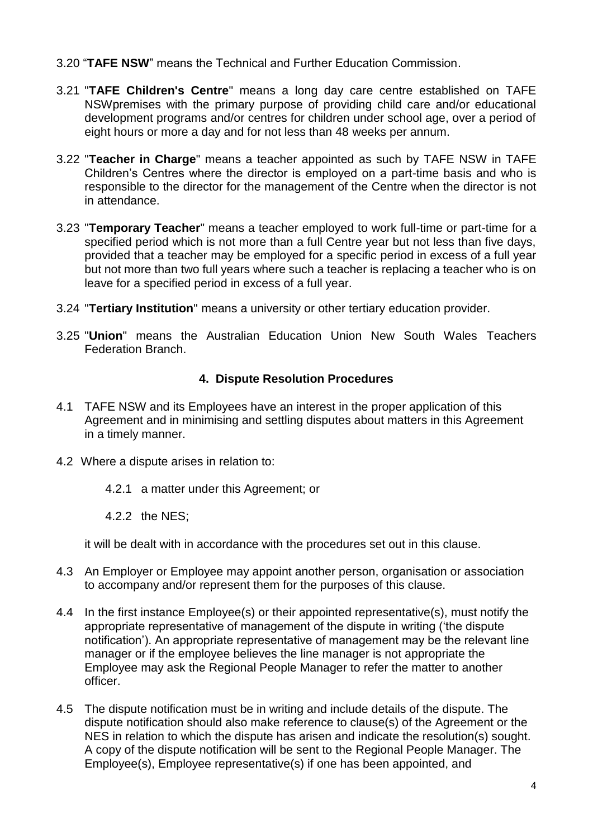- 3.20 "**TAFE NSW**" means the Technical and Further Education Commission.
- 3.21 "**TAFE Children's Centre**" means a long day care centre established on TAFE NSWpremises with the primary purpose of providing child care and/or educational development programs and/or centres for children under school age, over a period of eight hours or more a day and for not less than 48 weeks per annum.
- 3.22 "**Teacher in Charge**" means a teacher appointed as such by TAFE NSW in TAFE Children's Centres where the director is employed on a part-time basis and who is responsible to the director for the management of the Centre when the director is not in attendance.
- 3.23 "**Temporary Teacher**" means a teacher employed to work full-time or part-time for a specified period which is not more than a full Centre year but not less than five days, provided that a teacher may be employed for a specific period in excess of a full year but not more than two full years where such a teacher is replacing a teacher who is on leave for a specified period in excess of a full year.
- 3.24 "**Tertiary Institution**" means a university or other tertiary education provider.
- 3.25 "**Union**" means the Australian Education Union New South Wales Teachers Federation Branch.

# **4. Dispute Resolution Procedures**

- 4.1 TAFE NSW and its Employees have an interest in the proper application of this Agreement and in minimising and settling disputes about matters in this Agreement in a timely manner.
- 4.2 Where a dispute arises in relation to:
	- 4.2.1 a matter under this Agreement; or
	- 4.2.2 the NES;

it will be dealt with in accordance with the procedures set out in this clause.

- 4.3 An Employer or Employee may appoint another person, organisation or association to accompany and/or represent them for the purposes of this clause.
- 4.4 In the first instance Employee(s) or their appointed representative(s), must notify the appropriate representative of management of the dispute in writing ('the dispute notification'). An appropriate representative of management may be the relevant line manager or if the employee believes the line manager is not appropriate the Employee may ask the Regional People Manager to refer the matter to another officer.
- 4.5 The dispute notification must be in writing and include details of the dispute. The dispute notification should also make reference to clause(s) of the Agreement or the NES in relation to which the dispute has arisen and indicate the resolution(s) sought. A copy of the dispute notification will be sent to the Regional People Manager. The Employee(s), Employee representative(s) if one has been appointed, and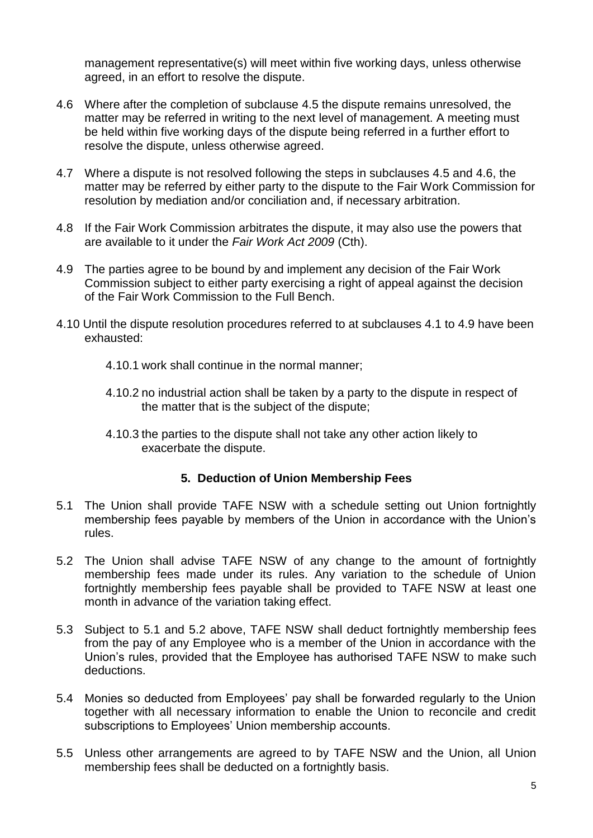management representative(s) will meet within five working days, unless otherwise agreed, in an effort to resolve the dispute.

- 4.6 Where after the completion of subclause 4.5 the dispute remains unresolved, the matter may be referred in writing to the next level of management. A meeting must be held within five working days of the dispute being referred in a further effort to resolve the dispute, unless otherwise agreed.
- 4.7 Where a dispute is not resolved following the steps in subclauses 4.5 and 4.6, the matter may be referred by either party to the dispute to the Fair Work Commission for resolution by mediation and/or conciliation and, if necessary arbitration.
- 4.8 If the Fair Work Commission arbitrates the dispute, it may also use the powers that are available to it under the *Fair Work Act 2009* (Cth).
- 4.9 The parties agree to be bound by and implement any decision of the Fair Work Commission subject to either party exercising a right of appeal against the decision of the Fair Work Commission to the Full Bench.
- 4.10 Until the dispute resolution procedures referred to at subclauses 4.1 to 4.9 have been exhausted:
	- 4.10.1 work shall continue in the normal manner;
	- 4.10.2 no industrial action shall be taken by a party to the dispute in respect of the matter that is the subject of the dispute;
	- 4.10.3 the parties to the dispute shall not take any other action likely to exacerbate the dispute.

## **5. Deduction of Union Membership Fees**

- 5.1 The Union shall provide TAFE NSW with a schedule setting out Union fortnightly membership fees payable by members of the Union in accordance with the Union's rules.
- 5.2 The Union shall advise TAFE NSW of any change to the amount of fortnightly membership fees made under its rules. Any variation to the schedule of Union fortnightly membership fees payable shall be provided to TAFE NSW at least one month in advance of the variation taking effect.
- 5.3 Subject to 5.1 and 5.2 above, TAFE NSW shall deduct fortnightly membership fees from the pay of any Employee who is a member of the Union in accordance with the Union's rules, provided that the Employee has authorised TAFE NSW to make such deductions.
- 5.4 Monies so deducted from Employees' pay shall be forwarded regularly to the Union together with all necessary information to enable the Union to reconcile and credit subscriptions to Employees' Union membership accounts.
- 5.5 Unless other arrangements are agreed to by TAFE NSW and the Union, all Union membership fees shall be deducted on a fortnightly basis.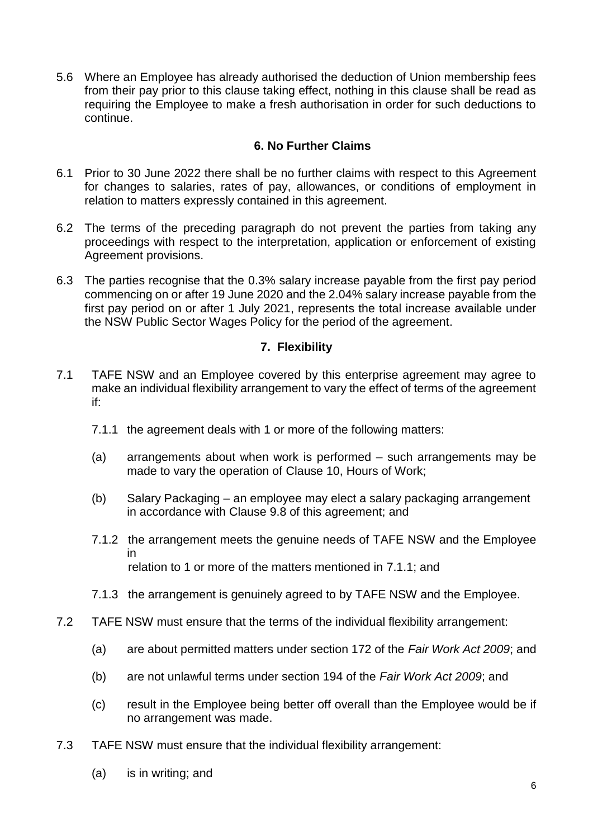5.6 Where an Employee has already authorised the deduction of Union membership fees from their pay prior to this clause taking effect, nothing in this clause shall be read as requiring the Employee to make a fresh authorisation in order for such deductions to continue.

# **6. No Further Claims**

- 6.1 Prior to 30 June 2022 there shall be no further claims with respect to this Agreement for changes to salaries, rates of pay, allowances, or conditions of employment in relation to matters expressly contained in this agreement.
- 6.2 The terms of the preceding paragraph do not prevent the parties from taking any proceedings with respect to the interpretation, application or enforcement of existing Agreement provisions.
- 6.3 The parties recognise that the 0.3% salary increase payable from the first pay period commencing on or after 19 June 2020 and the 2.04% salary increase payable from the first pay period on or after 1 July 2021, represents the total increase available under the NSW Public Sector Wages Policy for the period of the agreement.

# **7. Flexibility**

- 7.1 TAFE NSW and an Employee covered by this enterprise agreement may agree to make an individual flexibility arrangement to vary the effect of terms of the agreement if:
	- 7.1.1 the agreement deals with 1 or more of the following matters:
	- (a) arrangements about when work is performed such arrangements may be made to vary the operation of Clause 10, Hours of Work;
	- (b) Salary Packaging an employee may elect a salary packaging arrangement in accordance with Clause 9.8 of this agreement; and
	- 7.1.2 the arrangement meets the genuine needs of TAFE NSW and the Employee in relation to 1 or more of the matters mentioned in 7.1.1; and
	- 7.1.3 the arrangement is genuinely agreed to by TAFE NSW and the Employee.
- 7.2 TAFE NSW must ensure that the terms of the individual flexibility arrangement:
	- (a) are about permitted matters under section 172 of the *Fair Work Act 2009*; and
	- (b) are not unlawful terms under section 194 of the *Fair Work Act 2009*; and
	- (c) result in the Employee being better off overall than the Employee would be if no arrangement was made.
- 7.3 TAFE NSW must ensure that the individual flexibility arrangement:
	- (a) is in writing; and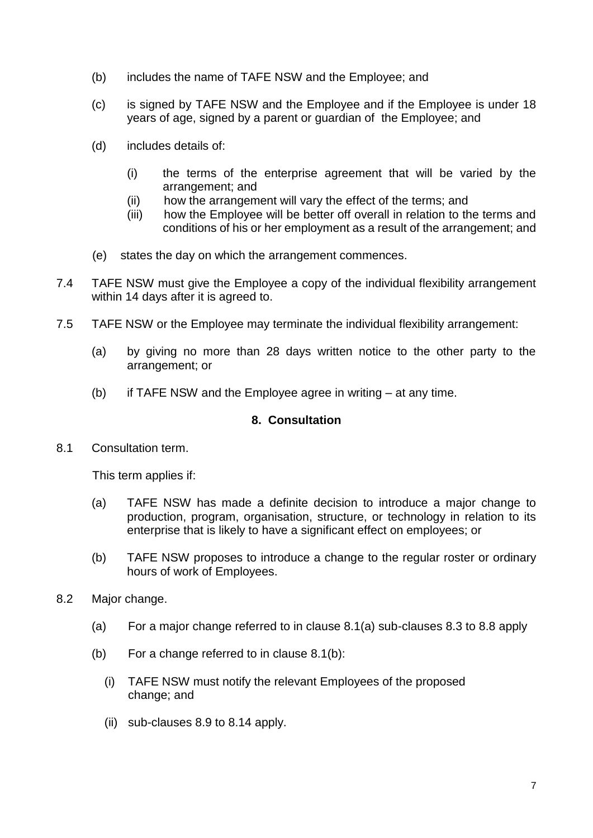- (b) includes the name of TAFE NSW and the Employee; and
- (c) is signed by TAFE NSW and the Employee and if the Employee is under 18 years of age, signed by a parent or guardian of the Employee; and
- (d) includes details of:
	- (i) the terms of the enterprise agreement that will be varied by the arrangement; and
	- (ii) how the arrangement will vary the effect of the terms; and
	- (iii) how the Employee will be better off overall in relation to the terms and conditions of his or her employment as a result of the arrangement; and
- (e) states the day on which the arrangement commences.
- 7.4 TAFE NSW must give the Employee a copy of the individual flexibility arrangement within 14 days after it is agreed to.
- 7.5 TAFE NSW or the Employee may terminate the individual flexibility arrangement:
	- (a) by giving no more than 28 days written notice to the other party to the arrangement; or
	- (b) if TAFE NSW and the Employee agree in writing at any time.

# **8. Consultation**

8.1 Consultation term.

This term applies if:

- (a) TAFE NSW has made a definite decision to introduce a major change to production, program, organisation, structure, or technology in relation to its enterprise that is likely to have a significant effect on employees; or
- (b) TAFE NSW proposes to introduce a change to the regular roster or ordinary hours of work of Employees.
- 8.2 Major change.
	- (a) For a major change referred to in clause 8.1(a) sub-clauses 8.3 to 8.8 apply
	- (b) For a change referred to in clause 8.1(b):
		- (i) TAFE NSW must notify the relevant Employees of the proposed change; and
		- (ii) sub-clauses 8.9 to 8.14 apply.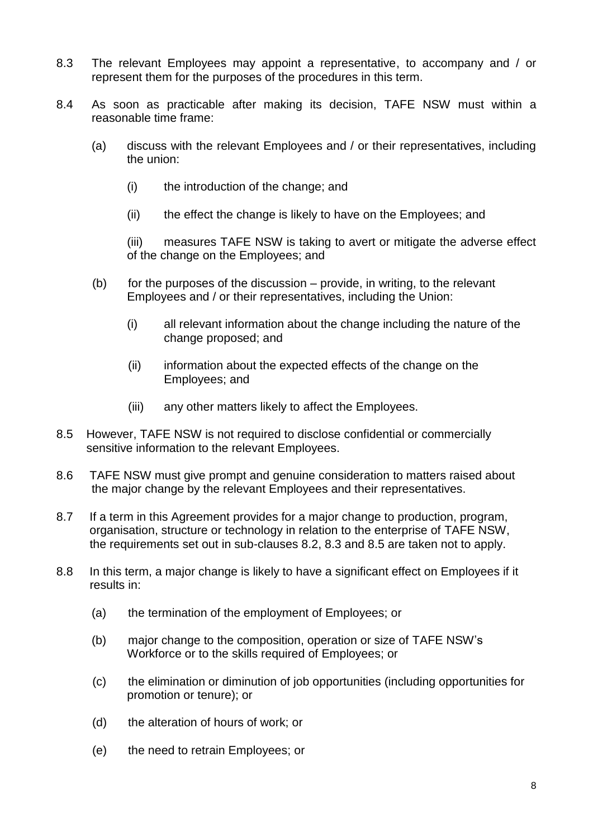- 8.3 The relevant Employees may appoint a representative, to accompany and / or represent them for the purposes of the procedures in this term.
- 8.4 As soon as practicable after making its decision, TAFE NSW must within a reasonable time frame:
	- (a) discuss with the relevant Employees and / or their representatives, including the union:
		- (i) the introduction of the change; and
		- (ii) the effect the change is likely to have on the Employees; and

(iii) measures TAFE NSW is taking to avert or mitigate the adverse effect of the change on the Employees; and

- (b) for the purposes of the discussion provide, in writing, to the relevant Employees and / or their representatives, including the Union:
	- (i) all relevant information about the change including the nature of the change proposed; and
	- (ii) information about the expected effects of the change on the Employees; and
	- (iii) any other matters likely to affect the Employees.
- 8.5 However, TAFE NSW is not required to disclose confidential or commercially sensitive information to the relevant Employees.
- 8.6 TAFE NSW must give prompt and genuine consideration to matters raised about the major change by the relevant Employees and their representatives.
- 8.7 If a term in this Agreement provides for a major change to production, program, organisation, structure or technology in relation to the enterprise of TAFE NSW, the requirements set out in sub-clauses 8.2, 8.3 and 8.5 are taken not to apply.
- 8.8 In this term, a major change is likely to have a significant effect on Employees if it results in:
	- (a) the termination of the employment of Employees; or
	- (b) major change to the composition, operation or size of TAFE NSW's Workforce or to the skills required of Employees; or
	- (c) the elimination or diminution of job opportunities (including opportunities for promotion or tenure); or
	- (d) the alteration of hours of work; or
	- (e) the need to retrain Employees; or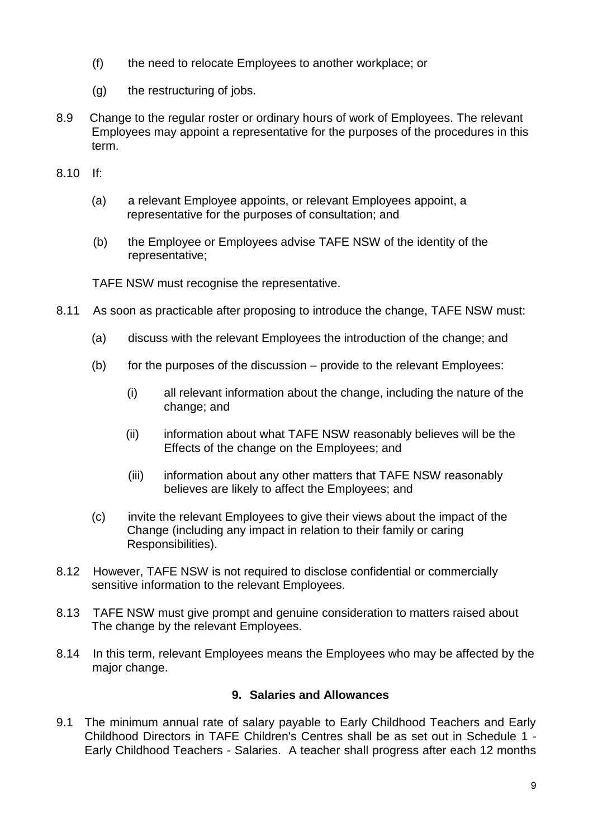- (f) the need to relocate Employees to another workplace; or
- (g) the restructuring of jobs.
- 8.9 Change to the regular roster or ordinary hours of work of Employees. The relevant Employees may appoint a representative for the purposes of the procedures in this term.
- 8.10 If:
	- (a) a relevant Employee appoints, or relevant Employees appoint, a representative for the purposes of consultation; and
	- (b) the Employee or Employees advise TAFE NSW of the identity of the representative;

TAFE NSW must recognise the representative.

- 8.11 As soon as practicable after proposing to introduce the change, TAFE NSW must:
	- (a) discuss with the relevant Employees the introduction of the change; and
	- (b) for the purposes of the discussion provide to the relevant Employees:
		- (i) all relevant information about the change, including the nature of the change; and
		- (ii) information about what TAFE NSW reasonably believes will be the Effects of the change on the Employees; and
		- (iii) information about any other matters that TAFE NSW reasonably believes are likely to affect the Employees; and
	- (c) invite the relevant Employees to give their views about the impact of the Change (including any impact in relation to their family or caring Responsibilities).
- 8.12 However, TAFE NSW is not required to disclose confidential or commercially sensitive information to the relevant Employees.
- 8.13 TAFE NSW must give prompt and genuine consideration to matters raised about The change by the relevant Employees.
- 8.14 In this term, relevant Employees means the Employees who may be affected by the major change.

# **9. Salaries and Allowances**

9.1 The minimum annual rate of salary payable to Early Childhood Teachers and Early Childhood Directors in TAFE Children's Centres shall be as set out in Schedule 1 - Early Childhood Teachers - Salaries. A teacher shall progress after each 12 months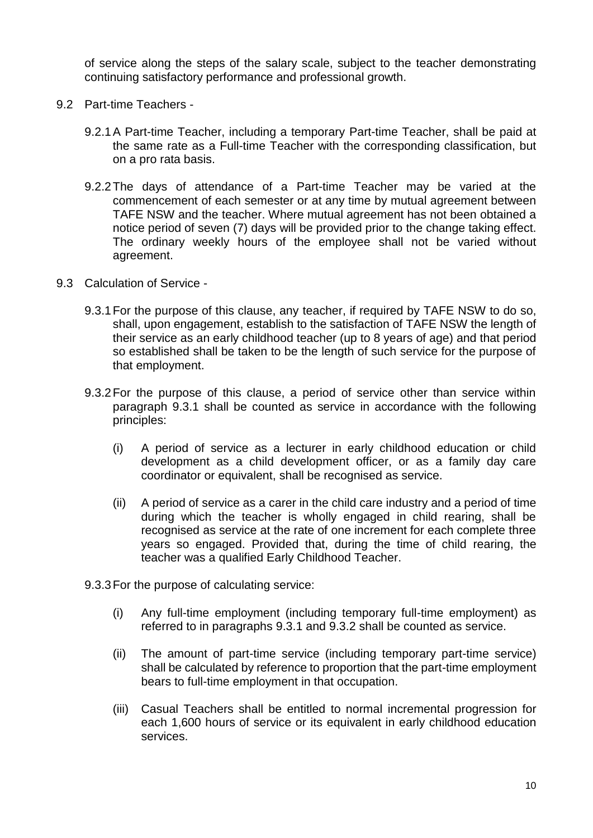of service along the steps of the salary scale, subject to the teacher demonstrating continuing satisfactory performance and professional growth.

- 9.2 Part-time Teachers
	- 9.2.1A Part-time Teacher, including a temporary Part-time Teacher, shall be paid at the same rate as a Full-time Teacher with the corresponding classification, but on a pro rata basis.
	- 9.2.2The days of attendance of a Part-time Teacher may be varied at the commencement of each semester or at any time by mutual agreement between TAFE NSW and the teacher. Where mutual agreement has not been obtained a notice period of seven (7) days will be provided prior to the change taking effect. The ordinary weekly hours of the employee shall not be varied without agreement.
- 9.3 Calculation of Service
	- 9.3.1For the purpose of this clause, any teacher, if required by TAFE NSW to do so, shall, upon engagement, establish to the satisfaction of TAFE NSW the length of their service as an early childhood teacher (up to 8 years of age) and that period so established shall be taken to be the length of such service for the purpose of that employment.
	- 9.3.2For the purpose of this clause, a period of service other than service within paragraph 9.3.1 shall be counted as service in accordance with the following principles:
		- (i) A period of service as a lecturer in early childhood education or child development as a child development officer, or as a family day care coordinator or equivalent, shall be recognised as service.
		- (ii) A period of service as a carer in the child care industry and a period of time during which the teacher is wholly engaged in child rearing, shall be recognised as service at the rate of one increment for each complete three years so engaged. Provided that, during the time of child rearing, the teacher was a qualified Early Childhood Teacher.
	- 9.3.3For the purpose of calculating service:
		- (i) Any full-time employment (including temporary full-time employment) as referred to in paragraphs 9.3.1 and 9.3.2 shall be counted as service.
		- (ii) The amount of part-time service (including temporary part-time service) shall be calculated by reference to proportion that the part-time employment bears to full-time employment in that occupation.
		- (iii) Casual Teachers shall be entitled to normal incremental progression for each 1,600 hours of service or its equivalent in early childhood education services.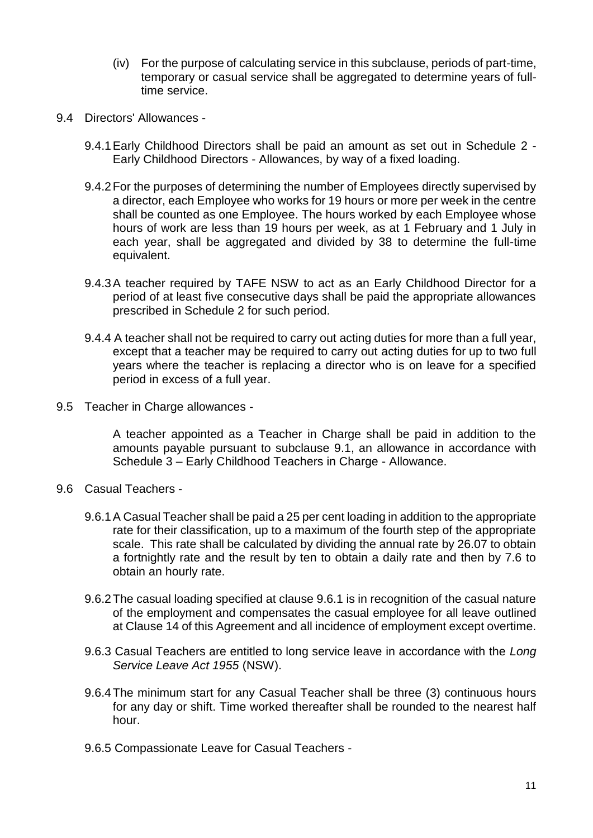- (iv) For the purpose of calculating service in this subclause, periods of part-time, temporary or casual service shall be aggregated to determine years of fulltime service.
- 9.4 Directors' Allowances
	- 9.4.1Early Childhood Directors shall be paid an amount as set out in Schedule 2 Early Childhood Directors - Allowances, by way of a fixed loading.
	- 9.4.2For the purposes of determining the number of Employees directly supervised by a director, each Employee who works for 19 hours or more per week in the centre shall be counted as one Employee. The hours worked by each Employee whose hours of work are less than 19 hours per week, as at 1 February and 1 July in each year, shall be aggregated and divided by 38 to determine the full-time equivalent.
	- 9.4.3A teacher required by TAFE NSW to act as an Early Childhood Director for a period of at least five consecutive days shall be paid the appropriate allowances prescribed in Schedule 2 for such period.
	- 9.4.4 A teacher shall not be required to carry out acting duties for more than a full year, except that a teacher may be required to carry out acting duties for up to two full years where the teacher is replacing a director who is on leave for a specified period in excess of a full year.
- 9.5 Teacher in Charge allowances -

A teacher appointed as a Teacher in Charge shall be paid in addition to the amounts payable pursuant to subclause 9.1, an allowance in accordance with Schedule 3 – Early Childhood Teachers in Charge - Allowance.

- 9.6 Casual Teachers
	- 9.6.1A Casual Teacher shall be paid a 25 per cent loading in addition to the appropriate rate for their classification, up to a maximum of the fourth step of the appropriate scale. This rate shall be calculated by dividing the annual rate by 26.07 to obtain a fortnightly rate and the result by ten to obtain a daily rate and then by 7.6 to obtain an hourly rate.
	- 9.6.2The casual loading specified at clause 9.6.1 is in recognition of the casual nature of the employment and compensates the casual employee for all leave outlined at Clause 14 of this Agreement and all incidence of employment except overtime.
	- 9.6.3 Casual Teachers are entitled to long service leave in accordance with the *Long Service Leave Act 1955* (NSW).
	- 9.6.4The minimum start for any Casual Teacher shall be three (3) continuous hours for any day or shift. Time worked thereafter shall be rounded to the nearest half hour.
	- 9.6.5 Compassionate Leave for Casual Teachers -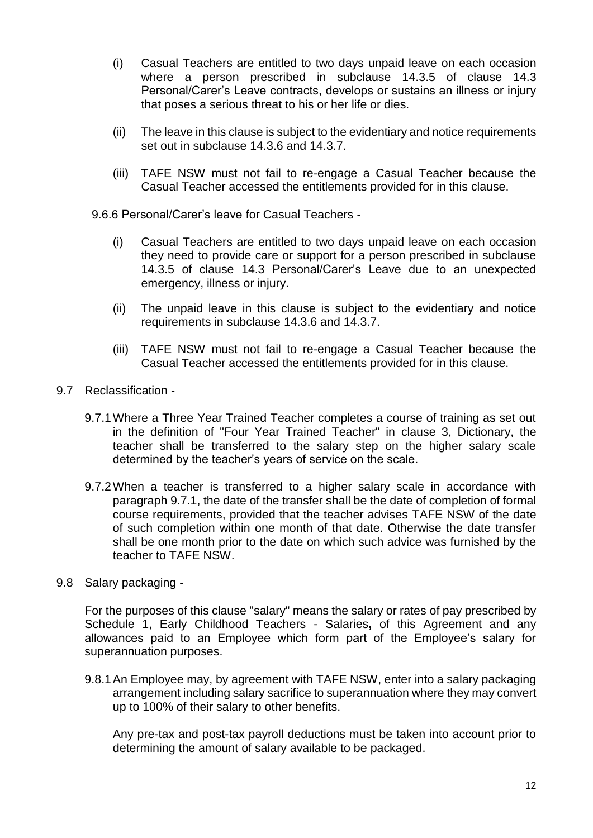- (i) Casual Teachers are entitled to two days unpaid leave on each occasion where a person prescribed in subclause 14.3.5 of clause 14.3 Personal/Carer's Leave contracts, develops or sustains an illness or injury that poses a serious threat to his or her life or dies.
- (ii) The leave in this clause is subject to the evidentiary and notice requirements set out in subclause 14.3.6 and 14.3.7.
- (iii) TAFE NSW must not fail to re-engage a Casual Teacher because the Casual Teacher accessed the entitlements provided for in this clause.

9.6.6 Personal/Carer's leave for Casual Teachers -

- (i) Casual Teachers are entitled to two days unpaid leave on each occasion they need to provide care or support for a person prescribed in subclause 14.3.5 of clause 14.3 Personal/Carer's Leave due to an unexpected emergency, illness or injury.
- (ii) The unpaid leave in this clause is subject to the evidentiary and notice requirements in subclause 14.3.6 and 14.3.7.
- (iii) TAFE NSW must not fail to re-engage a Casual Teacher because the Casual Teacher accessed the entitlements provided for in this clause.
- 9.7 Reclassification
	- 9.7.1Where a Three Year Trained Teacher completes a course of training as set out in the definition of "Four Year Trained Teacher" in clause 3, Dictionary, the teacher shall be transferred to the salary step on the higher salary scale determined by the teacher's years of service on the scale.
	- 9.7.2When a teacher is transferred to a higher salary scale in accordance with paragraph 9.7.1, the date of the transfer shall be the date of completion of formal course requirements, provided that the teacher advises TAFE NSW of the date of such completion within one month of that date. Otherwise the date transfer shall be one month prior to the date on which such advice was furnished by the teacher to TAFE NSW.
- 9.8 Salary packaging -

For the purposes of this clause "salary" means the salary or rates of pay prescribed by Schedule 1, Early Childhood Teachers - Salaries**,** of this Agreement and any allowances paid to an Employee which form part of the Employee's salary for superannuation purposes.

9.8.1An Employee may, by agreement with TAFE NSW, enter into a salary packaging arrangement including salary sacrifice to superannuation where they may convert up to 100% of their salary to other benefits.

Any pre-tax and post-tax payroll deductions must be taken into account prior to determining the amount of salary available to be packaged.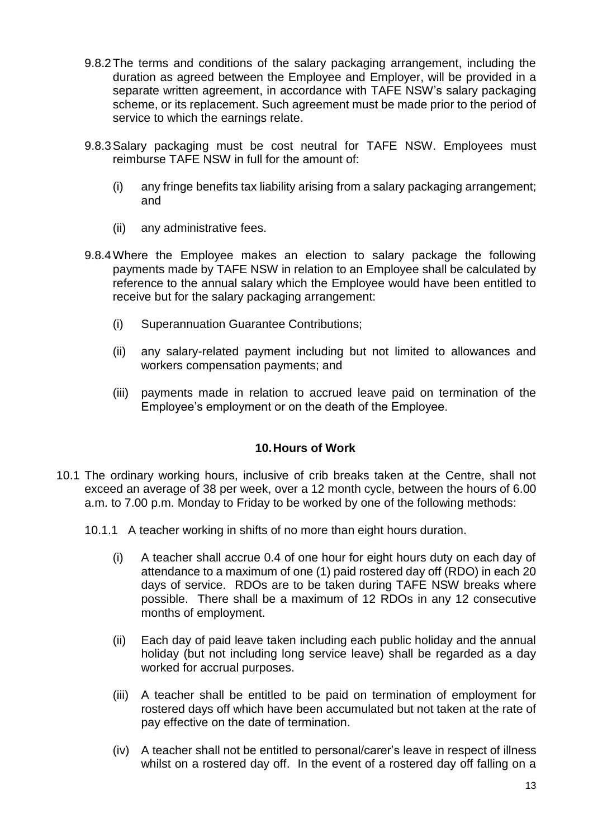- 9.8.2The terms and conditions of the salary packaging arrangement, including the duration as agreed between the Employee and Employer, will be provided in a separate written agreement, in accordance with TAFE NSW's salary packaging scheme, or its replacement. Such agreement must be made prior to the period of service to which the earnings relate.
- 9.8.3Salary packaging must be cost neutral for TAFE NSW. Employees must reimburse TAFE NSW in full for the amount of:
	- (i) any fringe benefits tax liability arising from a salary packaging arrangement; and
	- (ii) any administrative fees.
- 9.8.4Where the Employee makes an election to salary package the following payments made by TAFE NSW in relation to an Employee shall be calculated by reference to the annual salary which the Employee would have been entitled to receive but for the salary packaging arrangement:
	- (i) Superannuation Guarantee Contributions;
	- (ii) any salary-related payment including but not limited to allowances and workers compensation payments; and
	- (iii) payments made in relation to accrued leave paid on termination of the Employee's employment or on the death of the Employee.

# **10.Hours of Work**

- 10.1 The ordinary working hours, inclusive of crib breaks taken at the Centre, shall not exceed an average of 38 per week, over a 12 month cycle, between the hours of 6.00 a.m. to 7.00 p.m. Monday to Friday to be worked by one of the following methods:
	- 10.1.1 A teacher working in shifts of no more than eight hours duration.
		- (i) A teacher shall accrue 0.4 of one hour for eight hours duty on each day of attendance to a maximum of one (1) paid rostered day off (RDO) in each 20 days of service. RDOs are to be taken during TAFE NSW breaks where possible. There shall be a maximum of 12 RDOs in any 12 consecutive months of employment.
		- (ii) Each day of paid leave taken including each public holiday and the annual holiday (but not including long service leave) shall be regarded as a day worked for accrual purposes.
		- (iii) A teacher shall be entitled to be paid on termination of employment for rostered days off which have been accumulated but not taken at the rate of pay effective on the date of termination.
		- (iv) A teacher shall not be entitled to personal/carer's leave in respect of illness whilst on a rostered day off. In the event of a rostered day off falling on a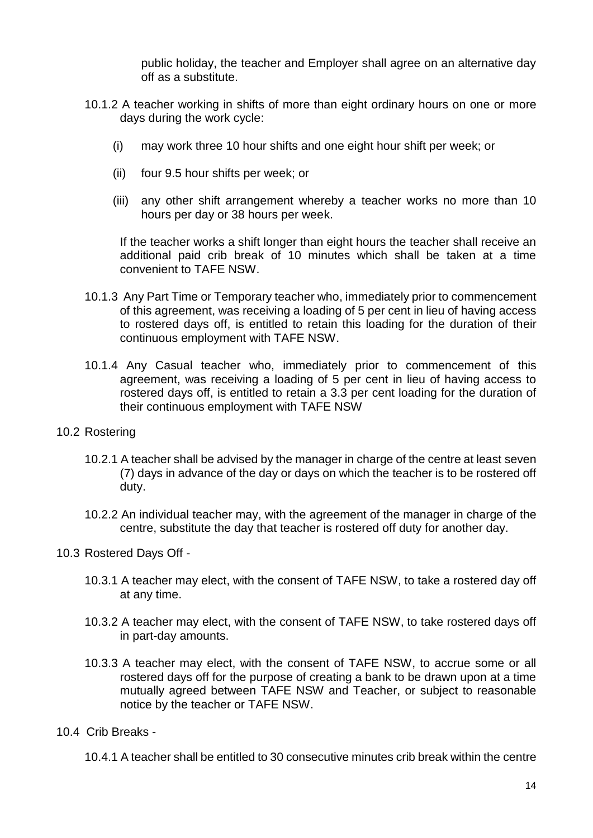public holiday, the teacher and Employer shall agree on an alternative day off as a substitute.

- 10.1.2 A teacher working in shifts of more than eight ordinary hours on one or more days during the work cycle:
	- (i) may work three 10 hour shifts and one eight hour shift per week; or
	- (ii) four 9.5 hour shifts per week; or
	- (iii) any other shift arrangement whereby a teacher works no more than 10 hours per day or 38 hours per week.

If the teacher works a shift longer than eight hours the teacher shall receive an additional paid crib break of 10 minutes which shall be taken at a time convenient to TAFE NSW.

- 10.1.3 Any Part Time or Temporary teacher who, immediately prior to commencement of this agreement, was receiving a loading of 5 per cent in lieu of having access to rostered days off, is entitled to retain this loading for the duration of their continuous employment with TAFE NSW.
- 10.1.4 Any Casual teacher who, immediately prior to commencement of this agreement, was receiving a loading of 5 per cent in lieu of having access to rostered days off, is entitled to retain a 3.3 per cent loading for the duration of their continuous employment with TAFE NSW
- 10.2 Rostering
	- 10.2.1 A teacher shall be advised by the manager in charge of the centre at least seven (7) days in advance of the day or days on which the teacher is to be rostered off duty.
	- 10.2.2 An individual teacher may, with the agreement of the manager in charge of the centre, substitute the day that teacher is rostered off duty for another day.

10.3 Rostered Days Off -

- 10.3.1 A teacher may elect, with the consent of TAFE NSW, to take a rostered day off at any time.
- 10.3.2 A teacher may elect, with the consent of TAFE NSW, to take rostered days off in part-day amounts.
- 10.3.3 A teacher may elect, with the consent of TAFE NSW, to accrue some or all rostered days off for the purpose of creating a bank to be drawn upon at a time mutually agreed between TAFE NSW and Teacher, or subject to reasonable notice by the teacher or TAFE NSW.
- 10.4 Crib Breaks -

10.4.1 A teacher shall be entitled to 30 consecutive minutes crib break within the centre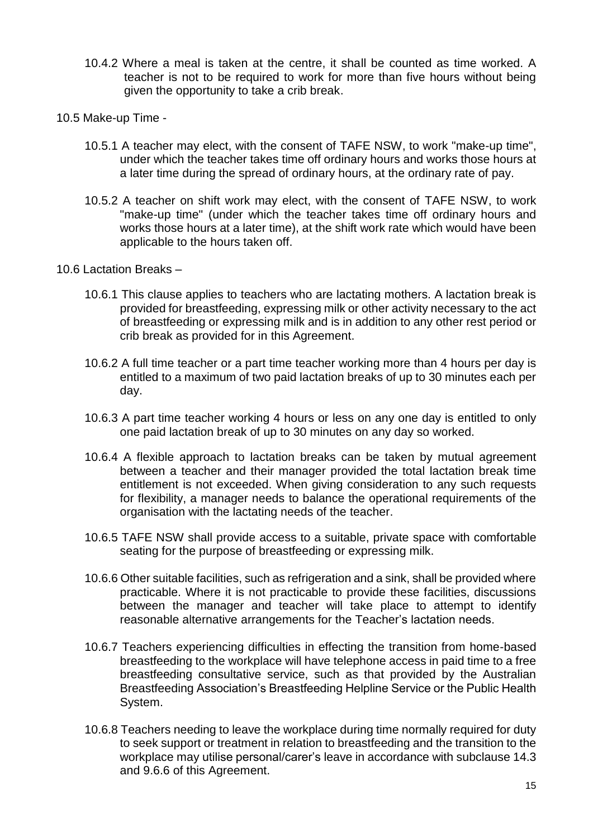- 10.4.2 Where a meal is taken at the centre, it shall be counted as time worked. A teacher is not to be required to work for more than five hours without being given the opportunity to take a crib break.
- 10.5 Make-up Time
	- 10.5.1 A teacher may elect, with the consent of TAFE NSW, to work "make-up time", under which the teacher takes time off ordinary hours and works those hours at a later time during the spread of ordinary hours, at the ordinary rate of pay.
	- 10.5.2 A teacher on shift work may elect, with the consent of TAFE NSW, to work "make-up time" (under which the teacher takes time off ordinary hours and works those hours at a later time), at the shift work rate which would have been applicable to the hours taken off.
- 10.6 Lactation Breaks
	- 10.6.1 This clause applies to teachers who are lactating mothers. A lactation break is provided for breastfeeding, expressing milk or other activity necessary to the act of breastfeeding or expressing milk and is in addition to any other rest period or crib break as provided for in this Agreement.
	- 10.6.2 A full time teacher or a part time teacher working more than 4 hours per day is entitled to a maximum of two paid lactation breaks of up to 30 minutes each per day.
	- 10.6.3 A part time teacher working 4 hours or less on any one day is entitled to only one paid lactation break of up to 30 minutes on any day so worked.
	- 10.6.4 A flexible approach to lactation breaks can be taken by mutual agreement between a teacher and their manager provided the total lactation break time entitlement is not exceeded. When giving consideration to any such requests for flexibility, a manager needs to balance the operational requirements of the organisation with the lactating needs of the teacher.
	- 10.6.5 TAFE NSW shall provide access to a suitable, private space with comfortable seating for the purpose of breastfeeding or expressing milk.
	- 10.6.6 Other suitable facilities, such as refrigeration and a sink, shall be provided where practicable. Where it is not practicable to provide these facilities, discussions between the manager and teacher will take place to attempt to identify reasonable alternative arrangements for the Teacher's lactation needs.
	- 10.6.7 Teachers experiencing difficulties in effecting the transition from home-based breastfeeding to the workplace will have telephone access in paid time to a free breastfeeding consultative service, such as that provided by the Australian Breastfeeding Association's Breastfeeding Helpline Service or the Public Health System.
	- 10.6.8 Teachers needing to leave the workplace during time normally required for duty to seek support or treatment in relation to breastfeeding and the transition to the workplace may utilise personal/carer's leave in accordance with subclause 14.3 and 9.6.6 of this Agreement.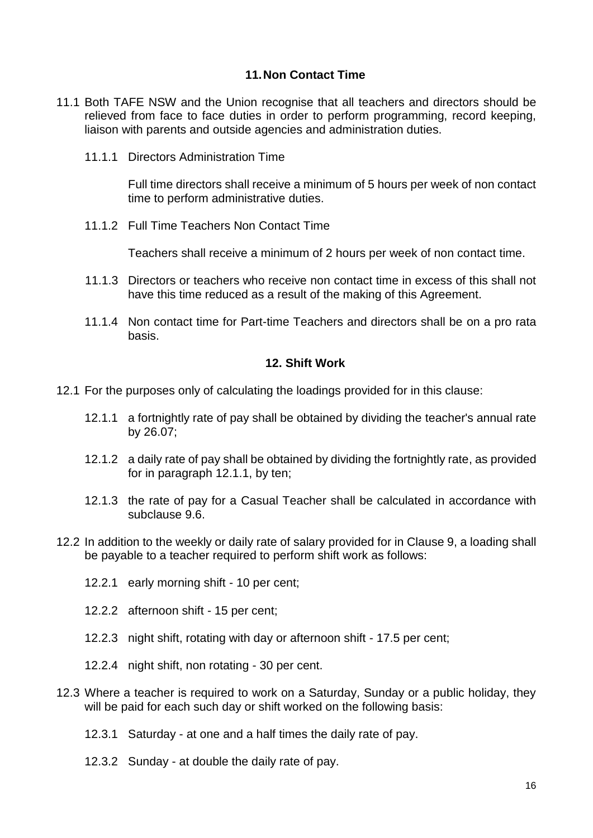## **11.Non Contact Time**

- 11.1 Both TAFE NSW and the Union recognise that all teachers and directors should be relieved from face to face duties in order to perform programming, record keeping, liaison with parents and outside agencies and administration duties.
	- 11.1.1 Directors Administration Time

Full time directors shall receive a minimum of 5 hours per week of non contact time to perform administrative duties.

11.1.2 Full Time Teachers Non Contact Time

Teachers shall receive a minimum of 2 hours per week of non contact time.

- 11.1.3 Directors or teachers who receive non contact time in excess of this shall not have this time reduced as a result of the making of this Agreement.
- 11.1.4 Non contact time for Part-time Teachers and directors shall be on a pro rata basis.

#### **12. Shift Work**

- 12.1 For the purposes only of calculating the loadings provided for in this clause:
	- 12.1.1 a fortnightly rate of pay shall be obtained by dividing the teacher's annual rate by 26.07;
	- 12.1.2 a daily rate of pay shall be obtained by dividing the fortnightly rate, as provided for in paragraph 12.1.1, by ten;
	- 12.1.3 the rate of pay for a Casual Teacher shall be calculated in accordance with subclause 9.6.
- 12.2 In addition to the weekly or daily rate of salary provided for in Clause 9, a loading shall be payable to a teacher required to perform shift work as follows:
	- 12.2.1 early morning shift 10 per cent;
	- 12.2.2 afternoon shift 15 per cent;
	- 12.2.3 night shift, rotating with day or afternoon shift 17.5 per cent;
	- 12.2.4 night shift, non rotating 30 per cent.
- 12.3 Where a teacher is required to work on a Saturday, Sunday or a public holiday, they will be paid for each such day or shift worked on the following basis:
	- 12.3.1 Saturday at one and a half times the daily rate of pay.
	- 12.3.2 Sunday at double the daily rate of pay.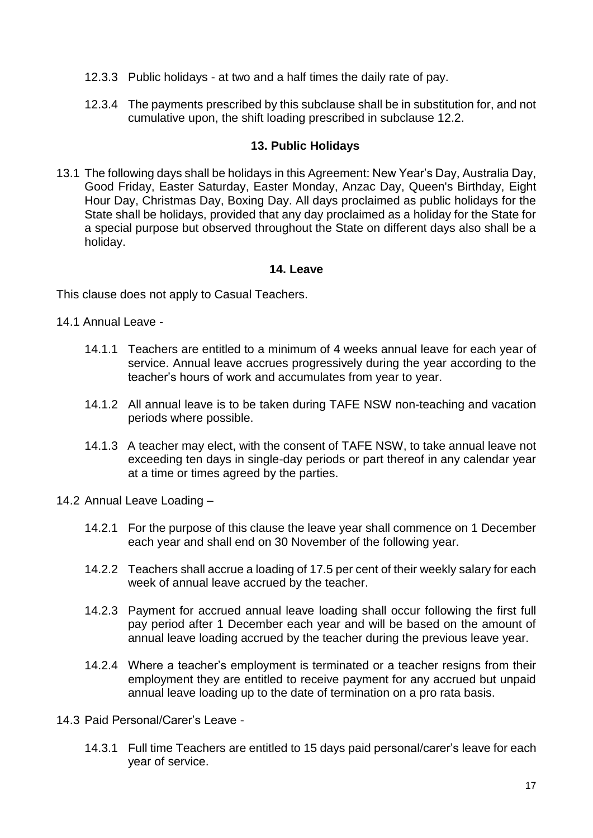- 12.3.3 Public holidays at two and a half times the daily rate of pay.
- 12.3.4 The payments prescribed by this subclause shall be in substitution for, and not cumulative upon, the shift loading prescribed in subclause 12.2.

# **13. Public Holidays**

13.1 The following days shall be holidays in this Agreement: New Year's Day, Australia Day, Good Friday, Easter Saturday, Easter Monday, Anzac Day, Queen's Birthday, Eight Hour Day, Christmas Day, Boxing Day. All days proclaimed as public holidays for the State shall be holidays, provided that any day proclaimed as a holiday for the State for a special purpose but observed throughout the State on different days also shall be a holiday.

## **14. Leave**

This clause does not apply to Casual Teachers.

14.1 Annual Leave -

- 14.1.1 Teachers are entitled to a minimum of 4 weeks annual leave for each year of service. Annual leave accrues progressively during the year according to the teacher's hours of work and accumulates from year to year.
- 14.1.2 All annual leave is to be taken during TAFE NSW non-teaching and vacation periods where possible.
- 14.1.3 A teacher may elect, with the consent of TAFE NSW, to take annual leave not exceeding ten days in single-day periods or part thereof in any calendar year at a time or times agreed by the parties.
- 14.2 Annual Leave Loading
	- 14.2.1 For the purpose of this clause the leave year shall commence on 1 December each year and shall end on 30 November of the following year.
	- 14.2.2 Teachers shall accrue a loading of 17.5 per cent of their weekly salary for each week of annual leave accrued by the teacher.
	- 14.2.3 Payment for accrued annual leave loading shall occur following the first full pay period after 1 December each year and will be based on the amount of annual leave loading accrued by the teacher during the previous leave year.
	- 14.2.4 Where a teacher's employment is terminated or a teacher resigns from their employment they are entitled to receive payment for any accrued but unpaid annual leave loading up to the date of termination on a pro rata basis.
- 14.3 Paid Personal/Carer's Leave
	- 14.3.1 Full time Teachers are entitled to 15 days paid personal/carer's leave for each year of service.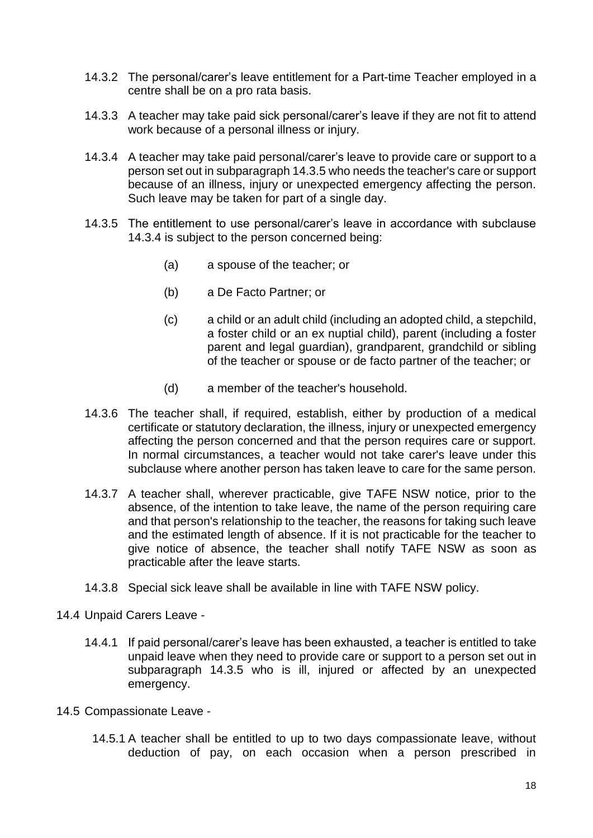- 14.3.2 The personal/carer's leave entitlement for a Part-time Teacher employed in a centre shall be on a pro rata basis.
- 14.3.3 A teacher may take paid sick personal/carer's leave if they are not fit to attend work because of a personal illness or injury.
- 14.3.4 A teacher may take paid personal/carer's leave to provide care or support to a person set out in subparagraph 14.3.5 who needs the teacher's care or support because of an illness, injury or unexpected emergency affecting the person. Such leave may be taken for part of a single day.
- 14.3.5 The entitlement to use personal/carer's leave in accordance with subclause 14.3.4 is subject to the person concerned being:
	- (a) a spouse of the teacher; or
	- (b) a De Facto Partner; or
	- (c) a child or an adult child (including an adopted child, a stepchild, a foster child or an ex nuptial child), parent (including a foster parent and legal guardian), grandparent, grandchild or sibling of the teacher or spouse or de facto partner of the teacher; or
	- (d) a member of the teacher's household.
- 14.3.6 The teacher shall, if required, establish, either by production of a medical certificate or statutory declaration, the illness, injury or unexpected emergency affecting the person concerned and that the person requires care or support. In normal circumstances, a teacher would not take carer's leave under this subclause where another person has taken leave to care for the same person.
- 14.3.7 A teacher shall, wherever practicable, give TAFE NSW notice, prior to the absence, of the intention to take leave, the name of the person requiring care and that person's relationship to the teacher, the reasons for taking such leave and the estimated length of absence. If it is not practicable for the teacher to give notice of absence, the teacher shall notify TAFE NSW as soon as practicable after the leave starts.
- 14.3.8 Special sick leave shall be available in line with TAFE NSW policy.
- 14.4 Unpaid Carers Leave
	- 14.4.1 If paid personal/carer's leave has been exhausted, a teacher is entitled to take unpaid leave when they need to provide care or support to a person set out in subparagraph 14.3.5 who is ill, injured or affected by an unexpected emergency.
- 14.5 Compassionate Leave
	- 14.5.1 A teacher shall be entitled to up to two days compassionate leave, without deduction of pay, on each occasion when a person prescribed in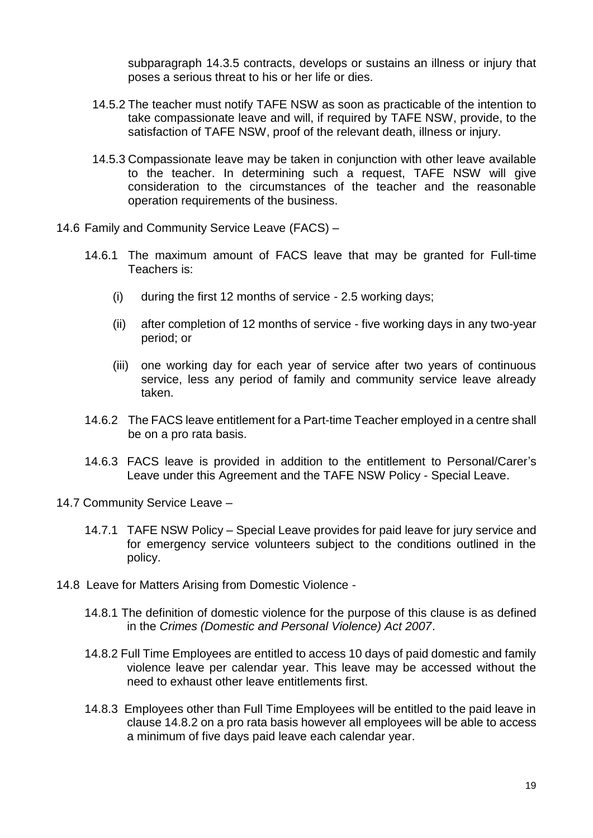subparagraph 14.3.5 contracts, develops or sustains an illness or injury that poses a serious threat to his or her life or dies.

- 14.5.2 The teacher must notify TAFE NSW as soon as practicable of the intention to take compassionate leave and will, if required by TAFE NSW, provide, to the satisfaction of TAFE NSW, proof of the relevant death, illness or injury.
- 14.5.3 Compassionate leave may be taken in conjunction with other leave available to the teacher. In determining such a request, TAFE NSW will give consideration to the circumstances of the teacher and the reasonable operation requirements of the business.
- 14.6 Family and Community Service Leave (FACS)
	- 14.6.1 The maximum amount of FACS leave that may be granted for Full-time Teachers is:
		- (i) during the first 12 months of service 2.5 working days;
		- (ii) after completion of 12 months of service five working days in any two-year period; or
		- (iii) one working day for each year of service after two years of continuous service, less any period of family and community service leave already taken.
	- 14.6.2 The FACS leave entitlement for a Part-time Teacher employed in a centre shall be on a pro rata basis.
	- 14.6.3 FACS leave is provided in addition to the entitlement to Personal/Carer's Leave under this Agreement and the TAFE NSW Policy - Special Leave.
- 14.7 Community Service Leave
	- 14.7.1 TAFE NSW Policy Special Leave provides for paid leave for jury service and for emergency service volunteers subject to the conditions outlined in the policy.
- 14.8 Leave for Matters Arising from Domestic Violence
	- 14.8.1 The definition of domestic violence for the purpose of this clause is as defined in the *Crimes (Domestic and Personal Violence) Act 2007*.
	- 14.8.2 Full Time Employees are entitled to access 10 days of paid domestic and family violence leave per calendar year. This leave may be accessed without the need to exhaust other leave entitlements first.
	- 14.8.3 Employees other than Full Time Employees will be entitled to the paid leave in clause 14.8.2 on a pro rata basis however all employees will be able to access a minimum of five days paid leave each calendar year.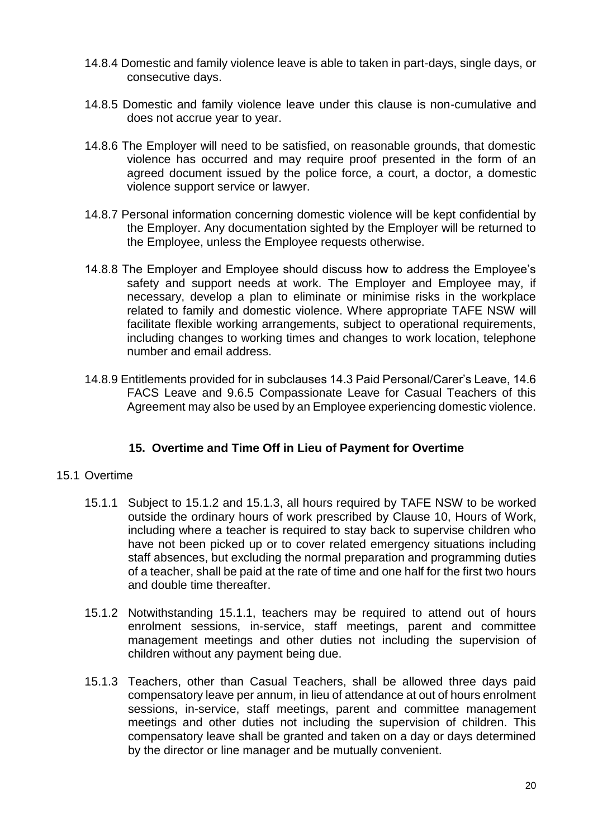- 14.8.4 Domestic and family violence leave is able to taken in part-days, single days, or consecutive days.
- 14.8.5 Domestic and family violence leave under this clause is non-cumulative and does not accrue year to year.
- 14.8.6 The Employer will need to be satisfied, on reasonable grounds, that domestic violence has occurred and may require proof presented in the form of an agreed document issued by the police force, a court, a doctor, a domestic violence support service or lawyer.
- 14.8.7 Personal information concerning domestic violence will be kept confidential by the Employer. Any documentation sighted by the Employer will be returned to the Employee, unless the Employee requests otherwise.
- 14.8.8 The Employer and Employee should discuss how to address the Employee's safety and support needs at work. The Employer and Employee may, if necessary, develop a plan to eliminate or minimise risks in the workplace related to family and domestic violence. Where appropriate TAFE NSW will facilitate flexible working arrangements, subject to operational requirements, including changes to working times and changes to work location, telephone number and email address.
- 14.8.9 Entitlements provided for in subclauses 14.3 Paid Personal/Carer's Leave, 14.6 FACS Leave and 9.6.5 Compassionate Leave for Casual Teachers of this Agreement may also be used by an Employee experiencing domestic violence.

# **15. Overtime and Time Off in Lieu of Payment for Overtime**

## 15.1 Overtime

- 15.1.1 Subject to 15.1.2 and 15.1.3, all hours required by TAFE NSW to be worked outside the ordinary hours of work prescribed by Clause 10, Hours of Work, including where a teacher is required to stay back to supervise children who have not been picked up or to cover related emergency situations including staff absences, but excluding the normal preparation and programming duties of a teacher, shall be paid at the rate of time and one half for the first two hours and double time thereafter.
- 15.1.2 Notwithstanding 15.1.1, teachers may be required to attend out of hours enrolment sessions, in-service, staff meetings, parent and committee management meetings and other duties not including the supervision of children without any payment being due.
- 15.1.3 Teachers, other than Casual Teachers, shall be allowed three days paid compensatory leave per annum, in lieu of attendance at out of hours enrolment sessions, in-service, staff meetings, parent and committee management meetings and other duties not including the supervision of children. This compensatory leave shall be granted and taken on a day or days determined by the director or line manager and be mutually convenient.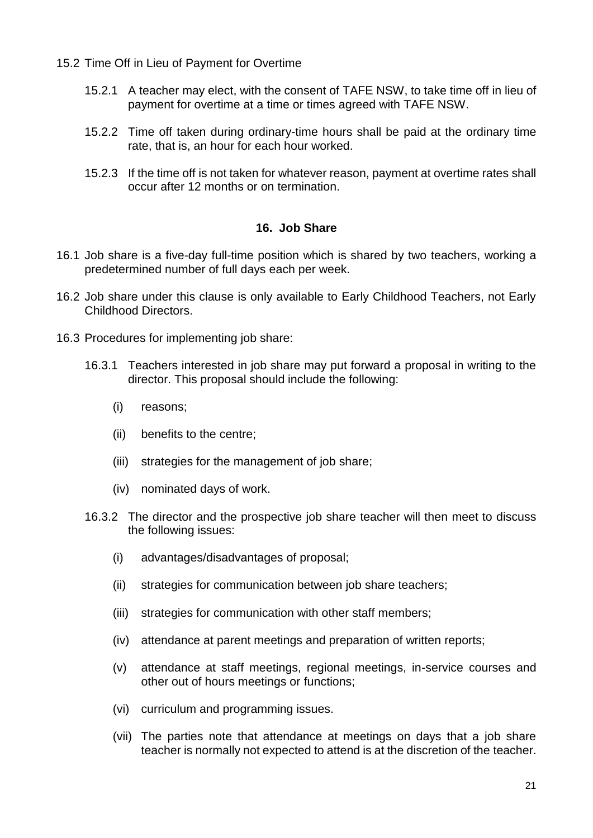15.2 Time Off in Lieu of Payment for Overtime

- 15.2.1 A teacher may elect, with the consent of TAFE NSW, to take time off in lieu of payment for overtime at a time or times agreed with TAFE NSW.
- 15.2.2 Time off taken during ordinary-time hours shall be paid at the ordinary time rate, that is, an hour for each hour worked.
- 15.2.3 If the time off is not taken for whatever reason, payment at overtime rates shall occur after 12 months or on termination.

# **16. Job Share**

- 16.1 Job share is a five-day full-time position which is shared by two teachers, working a predetermined number of full days each per week.
- 16.2 Job share under this clause is only available to Early Childhood Teachers, not Early Childhood Directors.
- 16.3 Procedures for implementing job share:
	- 16.3.1 Teachers interested in job share may put forward a proposal in writing to the director. This proposal should include the following:
		- (i) reasons;
		- (ii) benefits to the centre;
		- (iii) strategies for the management of job share;
		- (iv) nominated days of work.
	- 16.3.2 The director and the prospective job share teacher will then meet to discuss the following issues:
		- (i) advantages/disadvantages of proposal;
		- (ii) strategies for communication between job share teachers;
		- (iii) strategies for communication with other staff members;
		- (iv) attendance at parent meetings and preparation of written reports;
		- (v) attendance at staff meetings, regional meetings, in-service courses and other out of hours meetings or functions;
		- (vi) curriculum and programming issues.
		- (vii) The parties note that attendance at meetings on days that a job share teacher is normally not expected to attend is at the discretion of the teacher.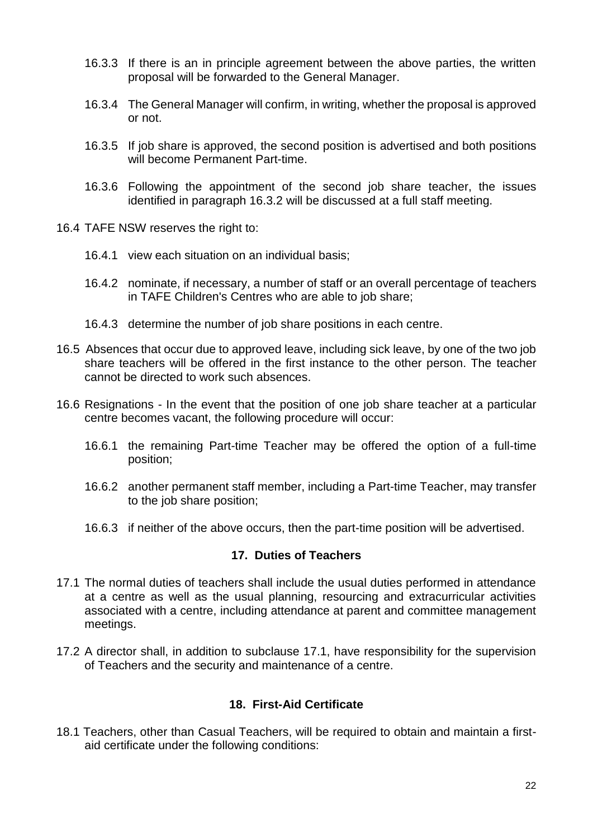- 16.3.3 If there is an in principle agreement between the above parties, the written proposal will be forwarded to the General Manager.
- 16.3.4 The General Manager will confirm, in writing, whether the proposal is approved or not.
- 16.3.5 If job share is approved, the second position is advertised and both positions will become Permanent Part-time.
- 16.3.6 Following the appointment of the second job share teacher, the issues identified in paragraph 16.3.2 will be discussed at a full staff meeting.
- 16.4 TAFE NSW reserves the right to:
	- 16.4.1 view each situation on an individual basis;
	- 16.4.2 nominate, if necessary, a number of staff or an overall percentage of teachers in TAFE Children's Centres who are able to job share;
	- 16.4.3 determine the number of job share positions in each centre.
- 16.5 Absences that occur due to approved leave, including sick leave, by one of the two job share teachers will be offered in the first instance to the other person. The teacher cannot be directed to work such absences.
- 16.6 Resignations In the event that the position of one job share teacher at a particular centre becomes vacant, the following procedure will occur:
	- 16.6.1 the remaining Part-time Teacher may be offered the option of a full-time position;
	- 16.6.2 another permanent staff member, including a Part-time Teacher, may transfer to the job share position;
	- 16.6.3 if neither of the above occurs, then the part-time position will be advertised.

## **17. Duties of Teachers**

- 17.1 The normal duties of teachers shall include the usual duties performed in attendance at a centre as well as the usual planning, resourcing and extracurricular activities associated with a centre, including attendance at parent and committee management meetings.
- 17.2 A director shall, in addition to subclause 17.1, have responsibility for the supervision of Teachers and the security and maintenance of a centre.

# **18. First-Aid Certificate**

18.1 Teachers, other than Casual Teachers, will be required to obtain and maintain a firstaid certificate under the following conditions: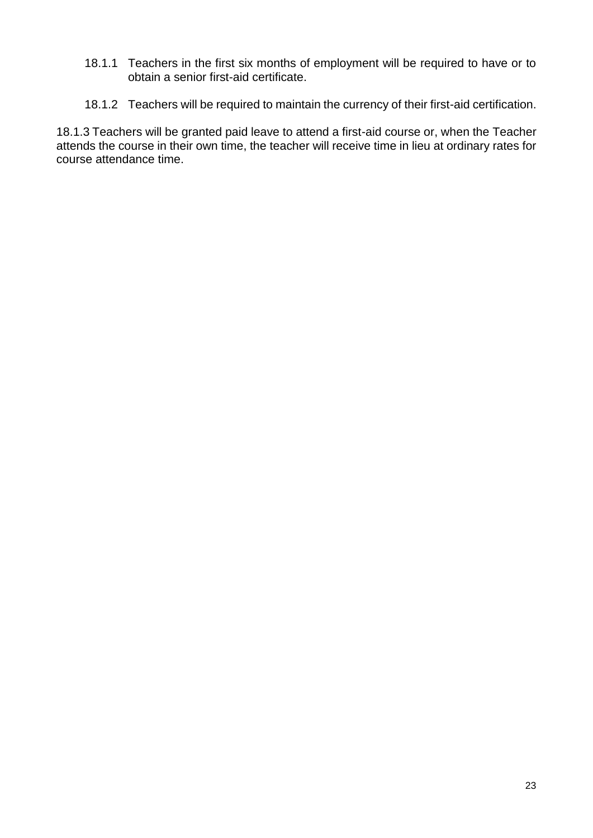- 18.1.1 Teachers in the first six months of employment will be required to have or to obtain a senior first-aid certificate.
- 18.1.2 Teachers will be required to maintain the currency of their first-aid certification.

18.1.3 Teachers will be granted paid leave to attend a first-aid course or, when the Teacher attends the course in their own time, the teacher will receive time in lieu at ordinary rates for course attendance time.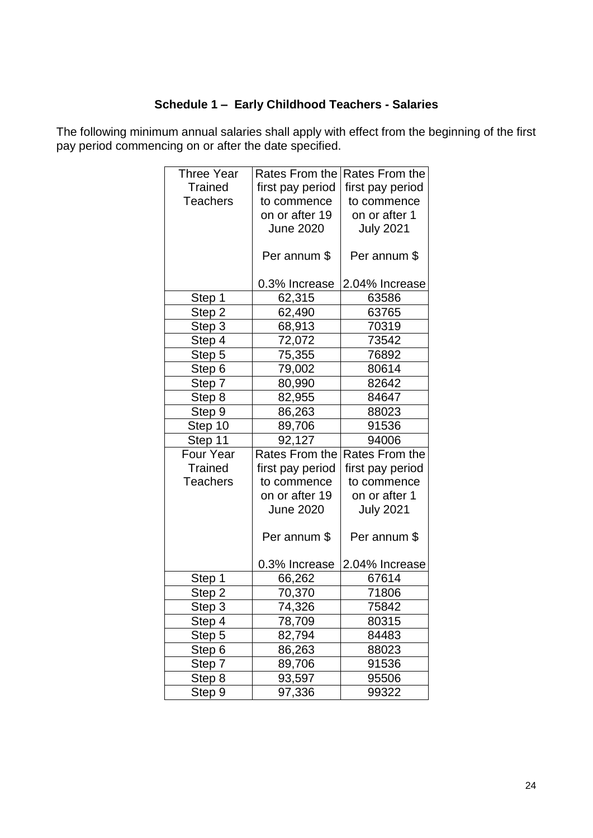# **Schedule 1 – Early Childhood Teachers - Salaries**

The following minimum annual salaries shall apply with effect from the beginning of the first pay period commencing on or after the date specified.

| <b>Three Year</b> | Rates From the        | Rates From the   |
|-------------------|-----------------------|------------------|
| <b>Trained</b>    | first pay period      | first pay period |
| <b>Teachers</b>   | to commence           | to commence      |
|                   | on or after 19        | on or after 1    |
|                   | <b>June 2020</b>      | <b>July 2021</b> |
|                   |                       |                  |
|                   | Per annum \$          | Per annum \$     |
|                   |                       |                  |
|                   | 0.3% Increase         | 2.04% Increase   |
| Step 1            | 62,315                | 63586            |
| Step 2            | 62,490                | 63765            |
| Step 3            | 68,913                | 70319            |
| Step 4            | 72,072                | 73542            |
| Step 5            | 75,355                | 76892            |
| Step 6            | 79,002                | 80614            |
| Step 7            | 80,990                | 82642            |
| Step 8            | 82,955                | 84647            |
| Step 9            | 86,263                | 88023            |
| Step 10           | 89,706                | 91536            |
| Step 11           | 92,127                | 94006            |
| Four Year         | <b>Rates From the</b> | Rates From the   |
| <b>Trained</b>    | first pay period      | first pay period |
| <b>Teachers</b>   | to commence           | to commence      |
|                   | on or after 19        | on or after 1    |
|                   | <b>June 2020</b>      | <b>July 2021</b> |
|                   | Per annum \$          | Per annum \$     |
|                   | 0.3% Increase         | 2.04% Increase   |
| Step 1            | 66,262                | 67614            |
| Step 2            | 70,370                | 71806            |
| Step 3            | 74,326                | 75842            |
| Step 4            | 78,709                | 80315            |
| Step 5            | 82,794                | 84483            |
| Step 6            | 86,263                | 88023            |
| Step 7            | 89,706                | 91536            |
| Step 8            | 93,597                | 95506            |
| Step 9            | 97,336                | 99322            |
|                   |                       |                  |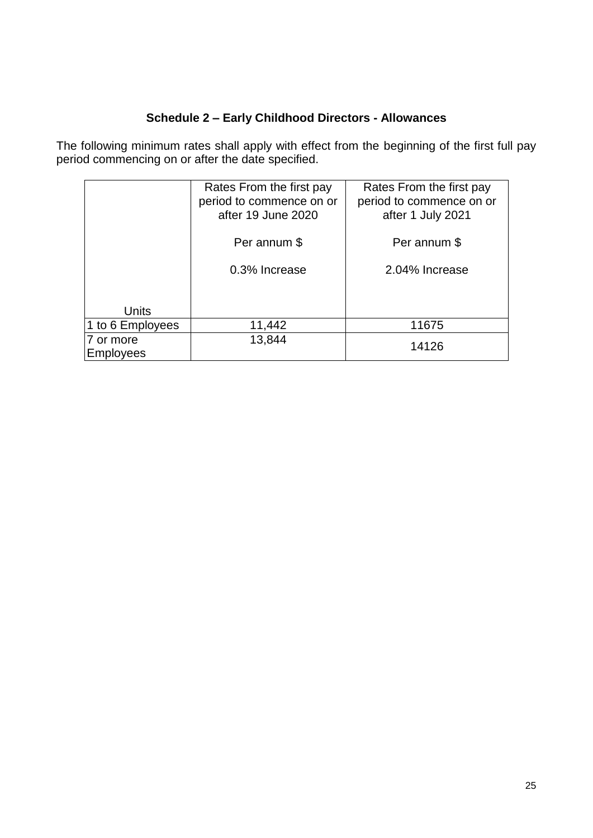# **Schedule 2 – Early Childhood Directors - Allowances**

The following minimum rates shall apply with effect from the beginning of the first full pay period commencing on or after the date specified.

|                               | Rates From the first pay<br>period to commence on or<br>after 19 June 2020 | Rates From the first pay<br>period to commence on or<br>after 1 July 2021 |
|-------------------------------|----------------------------------------------------------------------------|---------------------------------------------------------------------------|
|                               | Per annum \$                                                               | Per annum \$                                                              |
|                               | 0.3% Increase                                                              | 2.04% Increase                                                            |
| <b>Units</b>                  |                                                                            |                                                                           |
| 1 to 6 Employees              | 11,442                                                                     | 11675                                                                     |
| 7 or more<br><b>Employees</b> | 13,844                                                                     | 14126                                                                     |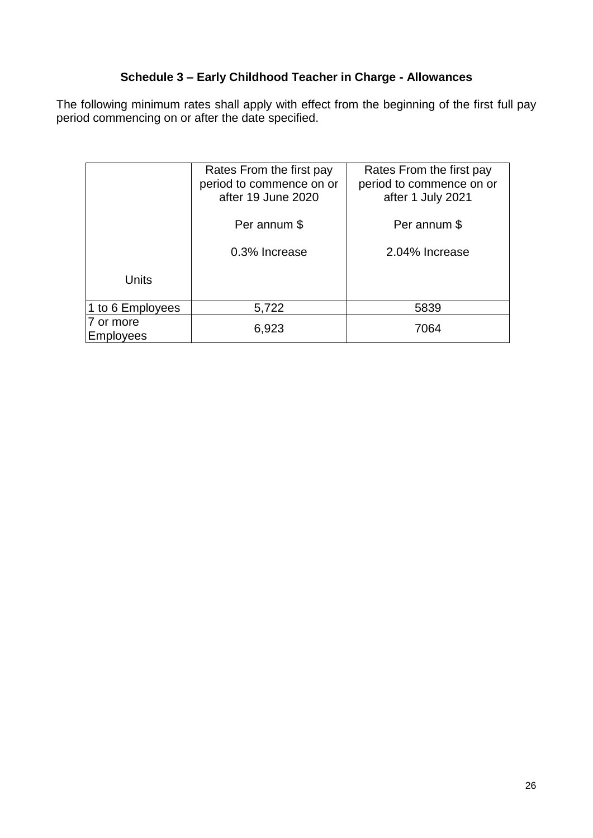# **Schedule 3 – Early Childhood Teacher in Charge - Allowances**

The following minimum rates shall apply with effect from the beginning of the first full pay period commencing on or after the date specified.

|                               | Rates From the first pay<br>period to commence on or<br>after 19 June 2020 | Rates From the first pay<br>period to commence on or<br>after 1 July 2021 |
|-------------------------------|----------------------------------------------------------------------------|---------------------------------------------------------------------------|
|                               | Per annum \$                                                               | Per annum \$                                                              |
|                               | 0.3% Increase                                                              | 2.04% Increase                                                            |
| <b>Units</b>                  |                                                                            |                                                                           |
| 1 to 6 Employees              | 5,722                                                                      | 5839                                                                      |
| 7 or more<br><b>Employees</b> | 6,923                                                                      | 7064                                                                      |